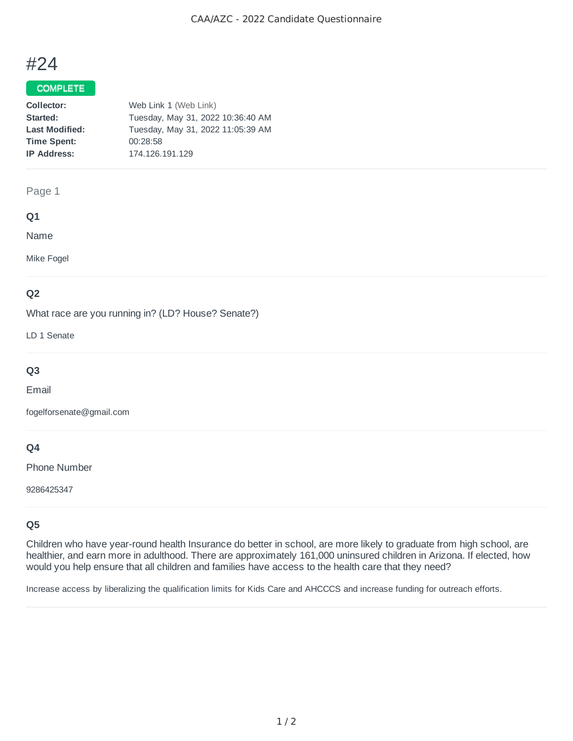# #24

# COMPLETE

| Collector:            | Web Link 1 (Web Link)             |
|-----------------------|-----------------------------------|
| Started:              | Tuesday, May 31, 2022 10:36:40 AM |
| <b>Last Modified:</b> | Tuesday, May 31, 2022 11:05:39 AM |
| <b>Time Spent:</b>    | 00:28:58                          |
| <b>IP Address:</b>    | 174.126.191.129                   |

## Page 1

## **Q1**

Name

Mike Fogel

# **Q2**

What race are you running in? (LD? House? Senate?)

LD 1 Senate

# **Q3**

Email

fogelforsenate@gmail.com

## **Q4**

Phone Number

9286425347

# **Q5**

Children who have year-round health Insurance do better in school, are more likely to graduate from high school, are healthier, and earn more in adulthood. There are approximately 161,000 uninsured children in Arizona. If elected, how would you help ensure that all children and families have access to the health care that they need?

Increase access by liberalizing the qualification limits for Kids Care and AHCCCS and increase funding for outreach efforts.